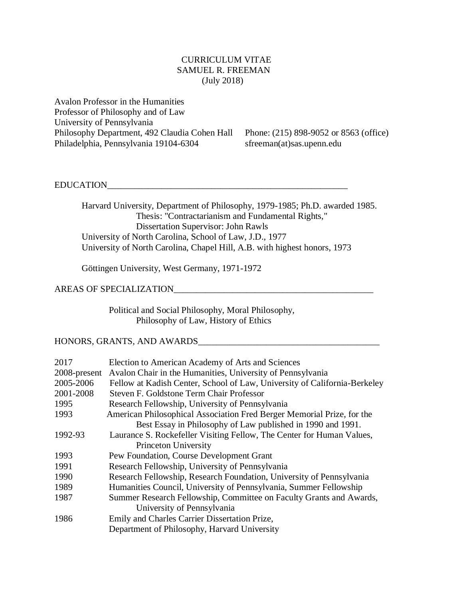# CURRICULUM VITAE SAMUEL R. FREEMAN (July 2018)

Avalon Professor in the Humanities Professor of Philosophy and of Law University of Pennsylvania Philosophy Department, 492 Claudia Cohen Hall Phone: (215) 898-9052 or 8563 (office) Philadelphia, Pennsylvania 19104-6304 sfreeman(at)sas.upenn.edu

# EDUCATION\_\_\_\_\_\_\_\_\_\_\_\_\_\_\_\_\_\_\_\_\_\_\_\_\_\_\_\_\_\_\_\_\_\_\_\_\_\_\_\_\_\_\_\_\_\_\_\_\_\_\_\_\_

Harvard University, Department of Philosophy, 1979-1985; Ph.D. awarded 1985. Thesis: "Contractarianism and Fundamental Rights," Dissertation Supervisor: John Rawls University of North Carolina, School of Law, J.D., 1977 University of North Carolina, Chapel Hill, A.B. with highest honors, 1973

Göttingen University, West Germany, 1971-1972

### AREAS OF SPECIALIZATION\_\_\_\_\_\_\_\_\_\_\_\_\_\_\_\_\_\_\_\_\_\_\_\_\_\_\_\_\_\_\_\_\_\_\_\_\_\_\_\_\_\_\_\_

Political and Social Philosophy, Moral Philosophy, Philosophy of Law, History of Ethics

## HONORS, GRANTS, AND AWARDS

| 2017         | Election to American Academy of Arts and Sciences                         |
|--------------|---------------------------------------------------------------------------|
| 2008-present | Avalon Chair in the Humanities, University of Pennsylvania                |
| 2005-2006    | Fellow at Kadish Center, School of Law, University of California-Berkeley |
| 2001-2008    | Steven F. Goldstone Term Chair Professor                                  |
| 1995         | Research Fellowship, University of Pennsylvania                           |
| 1993         | American Philosophical Association Fred Berger Memorial Prize, for the    |
|              | Best Essay in Philosophy of Law published in 1990 and 1991.               |
| 1992-93      | Laurance S. Rockefeller Visiting Fellow, The Center for Human Values,     |
|              | <b>Princeton University</b>                                               |
| 1993         | Pew Foundation, Course Development Grant                                  |
| 1991         | Research Fellowship, University of Pennsylvania                           |
| 1990         | Research Fellowship, Research Foundation, University of Pennsylvania      |
| 1989         | Humanities Council, University of Pennsylvania, Summer Fellowship         |
| 1987         | Summer Research Fellowship, Committee on Faculty Grants and Awards,       |
|              | University of Pennsylvania                                                |
| 1986         | Emily and Charles Carrier Dissertation Prize,                             |
|              | Department of Philosophy, Harvard University                              |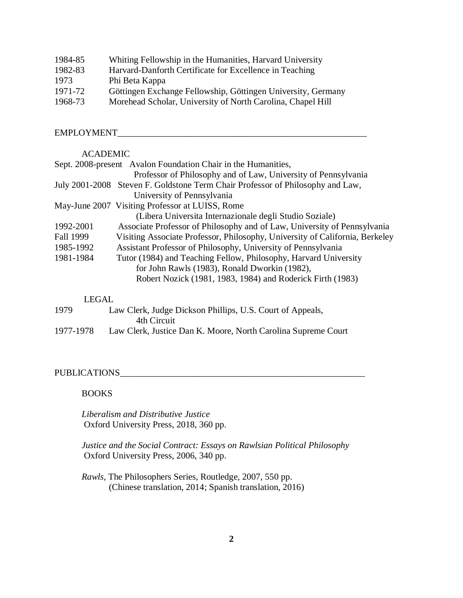| 1984-85 | Whiting Fellowship in the Humanities, Harvard University     |
|---------|--------------------------------------------------------------|
| 1982-83 | Harvard-Danforth Certificate for Excellence in Teaching      |
| 1973    | Phi Beta Kappa                                               |
| 1971-72 | Göttingen Exchange Fellowship, Göttingen University, Germany |
| 1968-73 | Morehead Scholar, University of North Carolina, Chapel Hill  |

# EMPLOYMENT\_\_\_\_\_\_\_\_\_\_\_\_\_\_\_\_\_\_\_\_\_\_\_\_\_\_\_\_\_\_\_\_\_\_\_\_\_\_\_\_\_\_\_\_\_\_\_\_\_\_\_\_\_\_\_

### ACADEMIC

|                  | Sept. 2008-present Avalon Foundation Chair in the Humanities,                  |
|------------------|--------------------------------------------------------------------------------|
|                  | Professor of Philosophy and of Law, University of Pennsylvania                 |
|                  | July 2001-2008 Steven F. Goldstone Term Chair Professor of Philosophy and Law, |
|                  | University of Pennsylvania                                                     |
|                  | May-June 2007 Visiting Professor at LUISS, Rome                                |
|                  | (Libera Universita Internazionale degli Studio Soziale)                        |
| 1992-2001        | Associate Professor of Philosophy and of Law, University of Pennsylvania       |
| <b>Fall 1999</b> | Visiting Associate Professor, Philosophy, University of California, Berkeley   |
| 1985-1992        | Assistant Professor of Philosophy, University of Pennsylvania                  |
| 1981-1984        | Tutor (1984) and Teaching Fellow, Philosophy, Harvard University               |
|                  | for John Rawls (1983), Ronald Dworkin (1982),                                  |
|                  | Robert Nozick (1981, 1983, 1984) and Roderick Firth (1983)                     |
|                  |                                                                                |

# LEGAL

| 1979      | Law Clerk, Judge Dickson Phillips, U.S. Court of Appeals,     |
|-----------|---------------------------------------------------------------|
|           | 4th Circuit                                                   |
| 1977-1978 | Law Clerk, Justice Dan K. Moore, North Carolina Supreme Court |

# PUBLICATIONS\_\_\_\_\_\_\_\_\_\_\_\_\_\_\_\_\_\_\_\_\_\_\_\_\_\_\_\_\_\_\_\_\_\_\_\_\_\_\_\_\_\_\_\_\_\_\_\_\_\_\_\_\_\_

### BOOKS

*Liberalism and Distributive Justice*  Oxford University Press, 2018, 360 pp.

*Justice and the Social Contract: Essays on Rawlsian Political Philosophy* Oxford University Press, 2006, 340 pp.

*Rawls,* The Philosophers Series, Routledge, 2007, 550 pp. (Chinese translation, 2014; Spanish translation, 2016)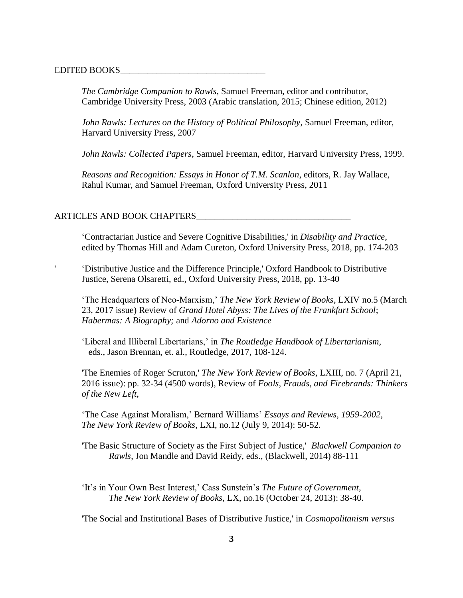#### EDITED BOOKS\_\_\_\_\_\_\_\_\_\_\_\_\_\_\_\_\_\_\_\_\_\_\_\_\_\_\_\_\_\_\_\_

'

*The Cambridge Companion to Rawls*, Samuel Freeman, editor and contributor, Cambridge University Press, 2003 (Arabic translation, 2015; Chinese edition, 2012)

*John Rawls: Lectures on the History of Political Philosophy*, Samuel Freeman, editor, Harvard University Press, 2007

*John Rawls: Collected Papers*, Samuel Freeman, editor, Harvard University Press, 1999.

*Reasons and Recognition: Essays in Honor of T.M. Scanlon*, editors, R. Jay Wallace, Rahul Kumar, and Samuel Freeman, Oxford University Press, 2011

### ARTICLES AND BOOK CHAPTERS

'Contractarian Justice and Severe Cognitive Disabilities,' in *Disability and Practice*, edited by Thomas Hill and Adam Cureton, Oxford University Press, 2018, pp. 174-203

 'Distributive Justice and the Difference Principle,' Oxford Handbook to Distributive Justice, Serena Olsaretti, ed., Oxford University Press, 2018, pp. 13-40

'The Headquarters of Neo-Marxism,' *The New York Review of Books*, LXIV no.5 (March 23, 2017 issue) Review of *Grand Hotel Abyss: The Lives of the Frankfurt School*; *Habermas: A Biography;* and *Adorno and Existence*

'Liberal and Illiberal Libertarians,' in *The Routledge Handbook of Libertarianism*, eds., Jason Brennan, et. al., Routledge, 2017, 108-124.

'The Enemies of Roger Scruton,' *The New York Review of Books,* LXIII, no. 7 (April 21, 2016 issue): pp. 32-34 (4500 words), Review of *Fools, Frauds, and Firebrands: Thinkers of the New Left*,

'The Case Against Moralism,' Bernard Williams' *Essays and Reviews, 1959-2002*, *The New York Review of Books*, LXI, no.12 (July 9, 2014): 50-52.

'The Basic Structure of Society as the First Subject of Justice,' *Blackwell Companion to Rawls*, Jon Mandle and David Reidy, eds., (Blackwell, 2014) 88-111

'It's in Your Own Best Interest,' Cass Sunstein's *The Future of Government*, *The New York Review of Books,* LX, no.16 (October 24, 2013): 38-40.

'The Social and Institutional Bases of Distributive Justice,' in *Cosmopolitanism versus*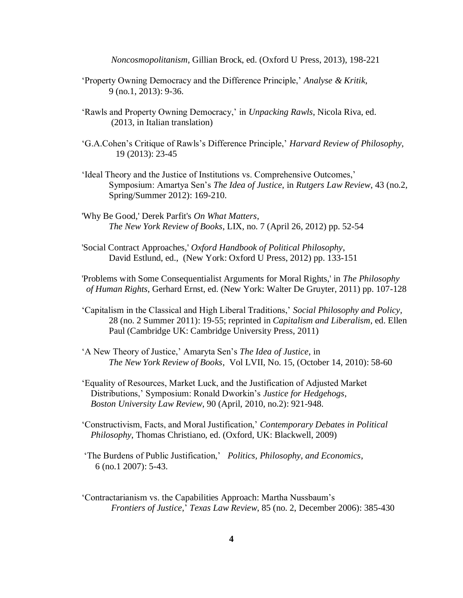*Noncosmopolitanism*, Gillian Brock, ed. (Oxford U Press, 2013), 198-221

- 'Property Owning Democracy and the Difference Principle,' *Analyse & Kritik*, 9 (no.1, 2013): 9-36.
- 'Rawls and Property Owning Democracy,' in *Unpacking Rawls*, Nicola Riva, ed. (2013, in Italian translation)
- 'G.A.Cohen's Critique of Rawls's Difference Principle,' *Harvard Review of Philosophy*, 19 (2013): 23-45
- 'Ideal Theory and the Justice of Institutions vs. Comprehensive Outcomes,' Symposium: Amartya Sen's *The Idea of Justice*, in *Rutgers Law Review*, 43 (no.2, Spring/Summer 2012): 169-210.
- 'Why Be Good,' Derek Parfit's *On What Matters*, *The New York Review of Books*, LIX, no. 7 (April 26, 2012) pp. 52-54
- 'Social Contract Approaches,' *Oxford Handbook of Political Philosophy*, David Estlund, ed., (New York: Oxford U Press, 2012) pp. 133-151

'Problems with Some Consequentialist Arguments for Moral Rights,' in *The Philosophy of Human Rights*, Gerhard Ernst, ed. (New York: Walter De Gruyter, 2011) pp. 107-128

- 'Capitalism in the Classical and High Liberal Traditions,' *Social Philosophy and Policy*, 28 (no. 2 Summer 2011): 19-55; reprinted in *Capitalism and Liberalism*, ed. Ellen Paul (Cambridge UK: Cambridge University Press, 2011)
- 'A New Theory of Justice,' Amaryta Sen's *The Idea of Justice*, in *The New York Review of Books*, Vol LVII, No. 15, (October 14, 2010): 58-60
- 'Equality of Resources, Market Luck, and the Justification of Adjusted Market Distributions,' Symposium: Ronald Dworkin's *Justice for Hedgehogs*, *Boston University Law Review*, 90 (April, 2010, no.2): 921-948.
- 'Constructivism, Facts, and Moral Justification,' *Contemporary Debates in Political Philosophy*, Thomas Christiano, ed. (Oxford, UK: Blackwell, 2009)
- 'The Burdens of Public Justification,' *Politics, Philosophy, and Economics*, 6 (no.1 2007): 5-43.
- 'Contractarianism vs. the Capabilities Approach: Martha Nussbaum's *Frontiers of Justice*,' *Texas Law Review*, 85 (no. 2, December 2006): 385-430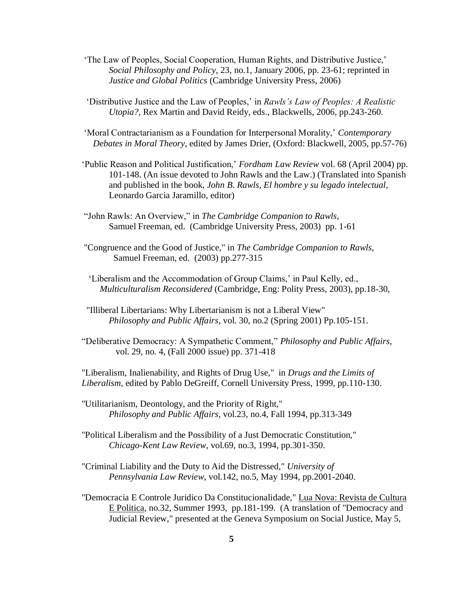- 'The Law of Peoples, Social Cooperation, Human Rights, and Distributive Justice,' *Social Philosophy and Policy*, 23, no.1, January 2006, pp. 23-61; reprinted in *Justice and Global Politics* (Cambridge University Press, 2006)
- 'Distributive Justice and the Law of Peoples,' in *Rawls's Law of Peoples: A Realistic Utopia?,* Rex Martin and David Reidy, eds., Blackwells, 2006, pp.243-260.
- 'Moral Contractarianism as a Foundation for Interpersonal Morality,' *Contemporary Debates in Moral Theory*, edited by James Drier, (Oxford: Blackwell, 2005, pp.57-76)
- 'Public Reason and Political Justification,' *Fordham Law Review* vol. 68 (April 2004) pp. 101-148. (An issue devoted to John Rawls and the Law.) (Translated into Spanish and published in the book, *John B. Rawls, El hombre y su legado intelectual*, Leonardo Garcia Jaramillo, editor)
- "John Rawls: An Overview," in *The Cambridge Companion to Rawls*, Samuel Freeman, ed. (Cambridge University Press, 2003) pp. 1-61
- "Congruence and the Good of Justice," in *The Cambridge Companion to Rawls*, Samuel Freeman, ed. (2003) pp.277-315
- 'Liberalism and the Accommodation of Group Claims,' in Paul Kelly, ed., *Multiculturalism Reconsidered* (Cambridge, Eng: Polity Press, 2003), pp.18-30,
- "Illiberal Libertarians: Why Libertarianism is not a Liberal View" *Philosophy and Public Affairs*, vol. 30, no.2 (Spring 2001) Pp.105-151.
- "Deliberative Democracy: A Sympathetic Comment," *Philosophy and Public Affairs*, vol. 29, no. 4, (Fall 2000 issue) pp. 371-418

"Liberalism, Inalienability, and Rights of Drug Use," in *Drugs and the Limits of Liberalism*, edited by Pablo DeGreiff, Cornell University Press, 1999, pp.110-130.

- "Utilitarianism, Deontology, and the Priority of Right," *Philosophy and Public Affairs*, vol.23, no.4, Fall 1994, pp.313-349
- "Political Liberalism and the Possibility of a Just Democratic Constitution," *Chicago-Kent Law Review*, vol.69, no.3, 1994, pp.301-350.
- "Criminal Liability and the Duty to Aid the Distressed," *University of Pennsylvania Law Review*, vol.142, no.5, May 1994, pp.2001-2040.
- "Democracia E Controle Juridico Da Constitucionalidade," Lua Nova: Revista de Cultura E Politica, no.32, Summer 1993, pp.181-199. (A translation of "Democracy and Judicial Review," presented at the Geneva Symposium on Social Justice, May 5,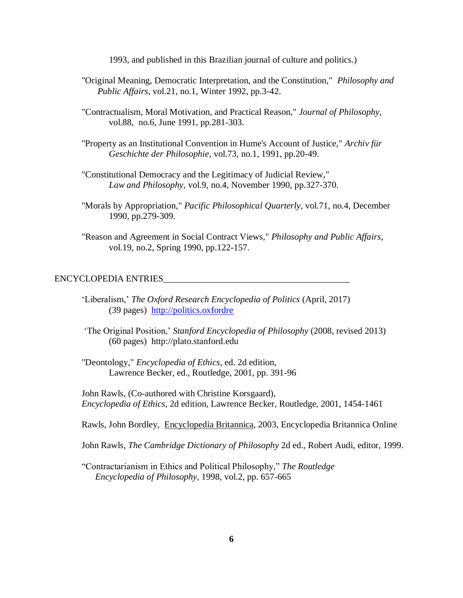1993, and published in this Brazilian journal of culture and politics.)

- "Original Meaning, Democratic Interpretation, and the Constitution," *Philosophy and Public Affairs*, vol.21, no.1, Winter 1992, pp.3-42.
- "Contractualism, Moral Motivation, and Practical Reason," *Journal of Philosophy*, vol.88, no.6, June 1991, pp.281-303.
- "Property as an Institutional Convention in Hume's Account of Justice," *Archiv für Geschichte der Philosophie*, vol.73, no.1, 1991, pp.20-49.
- "Constitutional Democracy and the Legitimacy of Judicial Review," *Law and Philosophy*, vol.9, no.4, November 1990, pp.327-370.
- "Morals by Appropriation," *Pacific Philosophical Quarterly*, vol.71, no.4, December 1990, pp.279-309.
- "Reason and Agreement in Social Contract Views," *Philosophy and Public Affairs*, vol.19, no.2, Spring 1990, pp.122-157.

### ENCYCLOPEDIA ENTRIES\_\_\_\_\_\_\_\_\_\_\_\_\_\_\_\_\_\_\_\_\_\_\_\_\_\_\_\_\_\_\_\_\_\_\_\_\_\_\_\_\_

- 'Liberalism,' *The Oxford Research Encyclopedia of Politics* (April, 2017) (39 pages) http://politics.oxfordre
- 'The Original Position,' *Stanford Encyclopedia of Philosophy* (2008, revised 2013) (60 pages) http://plato.stanford.edu
- "Deontology," *Encyclopedia of Ethics*, ed. 2d edition, Lawrence Becker, ed., Routledge, 2001, pp. 391-96

John Rawls, (Co-authored with Christine Korsgaard), *Encyclopedia of Ethics*, 2d edition, Lawrence Becker, Routledge, 2001, 1454-1461

Rawls, John Bordley, Encyclopedia Britannica, 2003, Encyclopedia Britannica Online

John Rawls, *The Cambridge Dictionary of Philosophy* 2d ed., Robert Audi, editor, 1999.

"Contractarianism in Ethics and Political Philosophy," *The Routledge Encyclopedia of Philosophy,* 1998, vol.2, pp. 657-665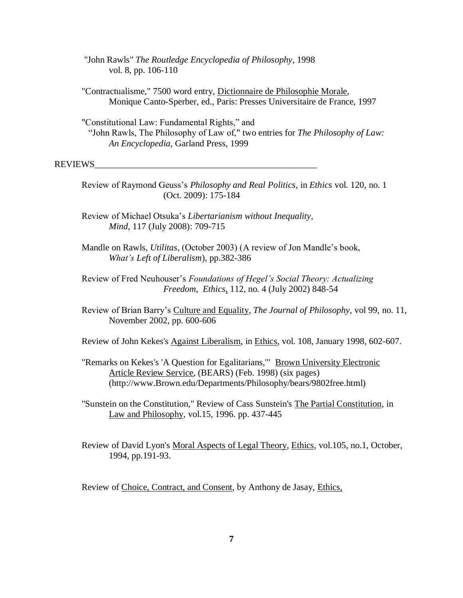"John Rawls" *The Routledge Encyclopedia of Philosophy*, 1998 vol. 8, pp. 106-110

"Contractualisme," 7500 word entry, Dictionnaire de Philosophie Morale, Monique Canto-Sperber, ed., Paris: Presses Universitaire de France, 1997

"Constitutional Law: Fundamental Rights," and "John Rawls, The Philosophy of Law of," two entries for *The Philosophy of Law: An Encyclopedia,* Garland Press, 1999

### REVIEWS\_\_\_\_\_\_\_\_\_\_\_\_\_\_\_\_\_\_\_\_\_\_\_\_\_\_\_\_\_\_\_\_\_\_\_\_\_\_\_\_\_\_\_\_\_\_\_\_\_

Review of Raymond Geuss's *Philosophy and Real Politics*, in *Ethics* vol. 120, no. 1 (Oct. 2009): 175-184

Review of Michael Otsuka's *Libertarianism without Inequality*, *Mind*, 117 (July 2008): 709-715

- Mandle on Rawls, *Utilitas*, (October 2003) (A review of Jon Mandle's book, *What's Left of Liberalism*), pp.382-386
- Review of Fred Neuhouser's *Foundations of Hegel's Social Theory: Actualizing Freedom*, *Ethics*, 112, no. 4 (July 2002) 848-54
- Review of Brian Barry's Culture and Equality, *The Journal of Philosophy*, vol 99, no. 11, November 2002, pp. 600-606

Review of John Kekes's Against Liberalism, in Ethics, vol. 108, January 1998, 602-607.

"Remarks on Kekes's 'A Question for Egalitarians,"" Brown University Electronic Article Review Service, (BEARS) (Feb. 1998) (six pages) (http://www.Brown.edu/Departments/Philosophy/bears/9802free.html)

"Sunstein on the Constitution," Review of Cass Sunstein's The Partial Constitution, in Law and Philosophy, vol.15, 1996. pp. 437-445

Review of David Lyon's Moral Aspects of Legal Theory, Ethics, vol.105, no.1, October, 1994, pp.191-93.

Review of Choice, Contract, and Consent, by Anthony de Jasay, Ethics,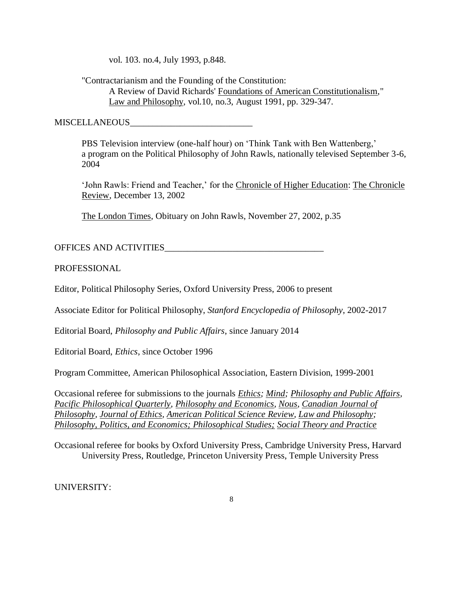vol. 103. no.4, July 1993, p.848.

"Contractarianism and the Founding of the Constitution: A Review of David Richards' Foundations of American Constitutionalism," Law and Philosophy, vol.10, no.3, August 1991, pp. 329-347.

MISCELLANEOUS

PBS Television interview (one-half hour) on 'Think Tank with Ben Wattenberg,' a program on the Political Philosophy of John Rawls, nationally televised September 3-6, 2004

'John Rawls: Friend and Teacher,' for the Chronicle of Higher Education: The Chronicle Review, December 13, 2002

The London Times, Obituary on John Rawls, November 27, 2002, p.35

OFFICES AND ACTIVITIES

PROFESSIONAL

Editor, Political Philosophy Series, Oxford University Press, 2006 to present

Associate Editor for Political Philosophy, *Stanford Encyclopedia of Philosophy*, 2002-2017

Editorial Board, *Philosophy and Public Affairs*, since January 2014

Editorial Board, *Ethics*, since October 1996

Program Committee, American Philosophical Association, Eastern Division, 1999-2001

Occasional referee for submissions to the journals *Ethics; Mind; Philosophy and Public Affairs, Pacific Philosophical Quarterly, Philosophy and Economics, Nous, Canadian Journal of Philosophy, Journal of Ethics, American Political Science Review, Law and Philosophy; Philosophy, Politics, and Economics; Philosophical Studies; Social Theory and Practice*

Occasional referee for books by Oxford University Press, Cambridge University Press, Harvard University Press, Routledge, Princeton University Press, Temple University Press

UNIVERSITY: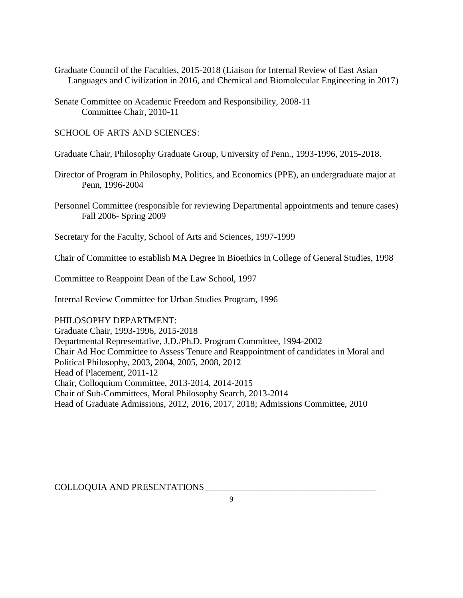- Graduate Council of the Faculties, 2015-2018 (Liaison for Internal Review of East Asian Languages and Civilization in 2016, and Chemical and Biomolecular Engineering in 2017)
- Senate Committee on Academic Freedom and Responsibility, 2008-11 Committee Chair, 2010-11

SCHOOL OF ARTS AND SCIENCES:

Graduate Chair, Philosophy Graduate Group, University of Penn., 1993-1996, 2015-2018.

- Director of Program in Philosophy, Politics, and Economics (PPE), an undergraduate major at Penn, 1996-2004
- Personnel Committee (responsible for reviewing Departmental appointments and tenure cases) Fall 2006- Spring 2009

Secretary for the Faculty, School of Arts and Sciences, 1997-1999

Chair of Committee to establish MA Degree in Bioethics in College of General Studies, 1998

Committee to Reappoint Dean of the Law School, 1997

Internal Review Committee for Urban Studies Program, 1996

# PHILOSOPHY DEPARTMENT:

Graduate Chair, 1993-1996, 2015-2018 Departmental Representative, J.D./Ph.D. Program Committee, 1994-2002 Chair Ad Hoc Committee to Assess Tenure and Reappointment of candidates in Moral and Political Philosophy, 2003, 2004, 2005, 2008, 2012 Head of Placement, 2011-12 Chair, Colloquium Committee, 2013-2014, 2014-2015 Chair of Sub-Committees, Moral Philosophy Search, 2013-2014 Head of Graduate Admissions, 2012, 2016, 2017, 2018; Admissions Committee, 2010

COLLOQUIA AND PRESENTATIONS\_\_\_\_\_\_\_\_\_\_\_\_\_\_\_\_\_\_\_\_\_\_\_\_\_\_\_\_\_\_\_\_\_\_\_\_\_\_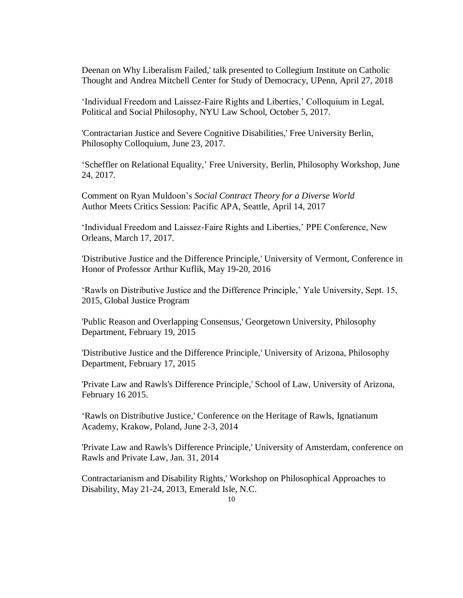Deenan on Why Liberalism Failed,' talk presented to Collegium Institute on Catholic Thought and Andrea Mitchell Center for Study of Democracy, UPenn, April 27, 2018

'Individual Freedom and Laissez-Faire Rights and Liberties,' Colloquium in Legal, Political and Social Philosophy, NYU Law School, October 5, 2017.

'Contractarian Justice and Severe Cognitive Disabilities,' Free University Berlin, Philosophy Colloquium, June 23, 2017.

'Scheffler on Relational Equality,' Free University, Berlin, Philosophy Workshop, June 24, 2017.

Comment on Ryan Muldoon's *Social Contract Theory for a Diverse World* Author Meets Critics Session: Pacific APA, Seattle, April 14, 2017

'Individual Freedom and Laissez-Faire Rights and Liberties,' PPE Conference, New Orleans, March 17, 2017.

'Distributive Justice and the Difference Principle,' University of Vermont, Conference in Honor of Professor Arthur Kuflik, May 19-20, 2016

'Rawls on Distributive Justice and the Difference Principle,' Yale University, Sept. 15, 2015, Global Justice Program

'Public Reason and Overlapping Consensus,' Georgetown University, Philosophy Department, February 19, 2015

'Distributive Justice and the Difference Principle,' University of Arizona, Philosophy Department, February 17, 2015

'Private Law and Rawls's Difference Principle,' School of Law, University of Arizona, February 16 2015.

'Rawls on Distributive Justice,' Conference on the Heritage of Rawls, Ignatianum Academy, Krakow, Poland, June 2-3, 2014

'Private Law and Rawls's Difference Principle,' University of Amsterdam, conference on Rawls and Private Law, Jan. 31, 2014

Contractarianism and Disability Rights,' Workshop on Philosophical Approaches to Disability, May 21-24, 2013, Emerald Isle, N.C.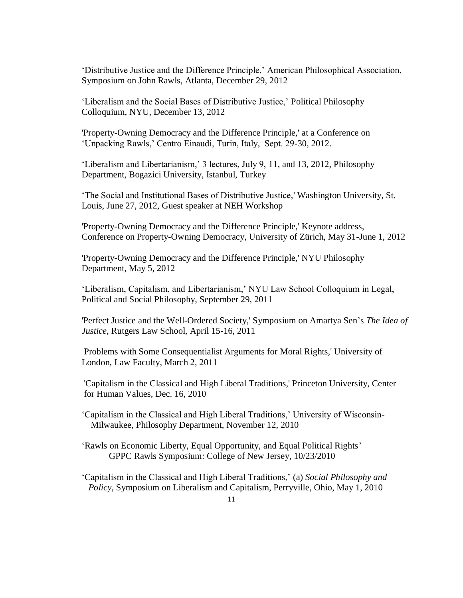'Distributive Justice and the Difference Principle,' American Philosophical Association, Symposium on John Rawls, Atlanta, December 29, 2012

'Liberalism and the Social Bases of Distributive Justice,' Political Philosophy Colloquium, NYU, December 13, 2012

'Property-Owning Democracy and the Difference Principle,' at a Conference on 'Unpacking Rawls,' Centro Einaudi, Turin, Italy, Sept. 29-30, 2012.

'Liberalism and Libertarianism,' 3 lectures, July 9, 11, and 13, 2012, Philosophy Department, Bogazici University, Istanbul, Turkey

'The Social and Institutional Bases of Distributive Justice,' Washington University, St. Louis, June 27, 2012, Guest speaker at NEH Workshop

'Property-Owning Democracy and the Difference Principle,' Keynote address, Conference on Property-Owning Democracy, University of Zürich, May 31-June 1, 2012

'Property-Owning Democracy and the Difference Principle,' NYU Philosophy Department, May 5, 2012

'Liberalism, Capitalism, and Libertarianism,' NYU Law School Colloquium in Legal, Political and Social Philosophy, September 29, 2011

'Perfect Justice and the Well-Ordered Society,' Symposium on Amartya Sen's *The Idea of Justice*, Rutgers Law School, April 15-16, 2011

Problems with Some Consequentialist Arguments for Moral Rights,' University of London, Law Faculty, March 2, 2011

'Capitalism in the Classical and High Liberal Traditions,' Princeton University, Center for Human Values, Dec. 16, 2010

'Capitalism in the Classical and High Liberal Traditions,' University of Wisconsin- Milwaukee, Philosophy Department, November 12, 2010

'Rawls on Economic Liberty, Equal Opportunity, and Equal Political Rights' GPPC Rawls Symposium: College of New Jersey, 10/23/2010

'Capitalism in the Classical and High Liberal Traditions,' (a) *Social Philosophy and Policy*, Symposium on Liberalism and Capitalism, Perryville, Ohio, May 1, 2010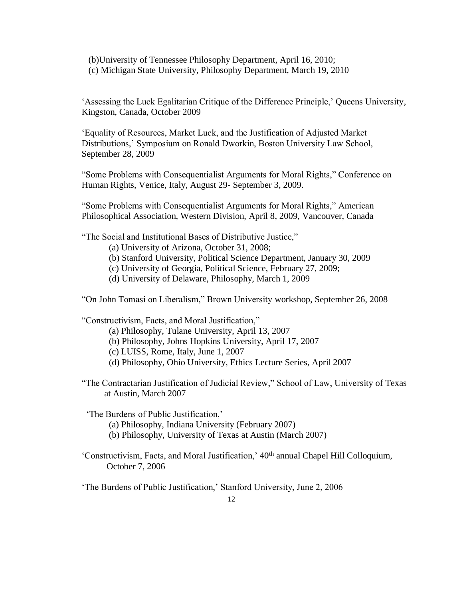(b)University of Tennessee Philosophy Department, April 16, 2010; (c) Michigan State University, Philosophy Department, March 19, 2010

'Assessing the Luck Egalitarian Critique of the Difference Principle,' Queens University, Kingston, Canada, October 2009

'Equality of Resources, Market Luck, and the Justification of Adjusted Market Distributions,' Symposium on Ronald Dworkin, Boston University Law School, September 28, 2009

"Some Problems with Consequentialist Arguments for Moral Rights," Conference on Human Rights, Venice, Italy, August 29- September 3, 2009.

"Some Problems with Consequentialist Arguments for Moral Rights," American Philosophical Association, Western Division, April 8, 2009, Vancouver, Canada

"The Social and Institutional Bases of Distributive Justice,"

- (a) University of Arizona, October 31, 2008;
- (b) Stanford University, Political Science Department, January 30, 2009
- (c) University of Georgia, Political Science, February 27, 2009;
- (d) University of Delaware, Philosophy, March 1, 2009

"On John Tomasi on Liberalism," Brown University workshop, September 26, 2008

"Constructivism, Facts, and Moral Justification,"

(a) Philosophy, Tulane University, April 13, 2007

- (b) Philosophy, Johns Hopkins University, April 17, 2007
- (c) LUISS, Rome, Italy, June 1, 2007
- (d) Philosophy, Ohio University, Ethics Lecture Series, April 2007
- "The Contractarian Justification of Judicial Review," School of Law, University of Texas at Austin, March 2007

'The Burdens of Public Justification,'

- (a) Philosophy, Indiana University (February 2007)
- (b) Philosophy, University of Texas at Austin (March 2007)
- 'Constructivism, Facts, and Moral Justification,' 40th annual Chapel Hill Colloquium, October 7, 2006

'The Burdens of Public Justification,' Stanford University, June 2, 2006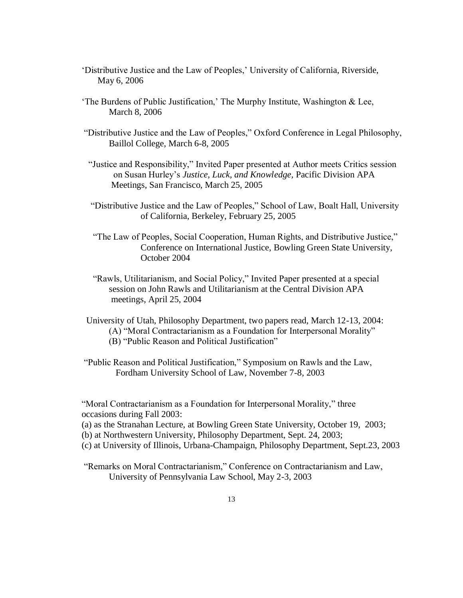- 'Distributive Justice and the Law of Peoples,' University of California, Riverside, May 6, 2006
- 'The Burdens of Public Justification,' The Murphy Institute, Washington & Lee, March 8, 2006
- "Distributive Justice and the Law of Peoples," Oxford Conference in Legal Philosophy, Baillol College, March 6-8, 2005
- "Justice and Responsibility," Invited Paper presented at Author meets Critics session on Susan Hurley's *Justice, Luck, and Knowledge,* Pacific Division APA Meetings, San Francisco, March 25, 2005
- "Distributive Justice and the Law of Peoples," School of Law, Boalt Hall, University of California, Berkeley, February 25, 2005
- "The Law of Peoples, Social Cooperation, Human Rights, and Distributive Justice," Conference on International Justice, Bowling Green State University, October 2004
- "Rawls, Utilitarianism, and Social Policy," Invited Paper presented at a special session on John Rawls and Utilitarianism at the Central Division APA meetings, April 25, 2004
- University of Utah, Philosophy Department, two papers read, March 12-13, 2004: (A) "Moral Contractarianism as a Foundation for Interpersonal Morality" (B) "Public Reason and Political Justification"
- "Public Reason and Political Justification," Symposium on Rawls and the Law, Fordham University School of Law, November 7-8, 2003

"Moral Contractarianism as a Foundation for Interpersonal Morality," three occasions during Fall 2003:

- (a) as the Stranahan Lecture, at Bowling Green State University, October 19, 2003;
- (b) at Northwestern University, Philosophy Department, Sept. 24, 2003;
- (c) at University of Illinois, Urbana-Champaign, Philosophy Department, Sept.23, 2003
- "Remarks on Moral Contractarianism," Conference on Contractarianism and Law, University of Pennsylvania Law School, May 2-3, 2003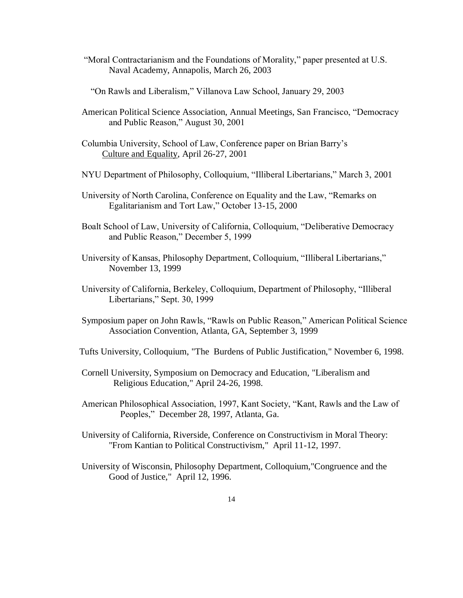"Moral Contractarianism and the Foundations of Morality," paper presented at U.S. Naval Academy, Annapolis, March 26, 2003

"On Rawls and Liberalism," Villanova Law School, January 29, 2003

- American Political Science Association, Annual Meetings, San Francisco, "Democracy and Public Reason," August 30, 2001
- Columbia University, School of Law, Conference paper on Brian Barry's Culture and Equality, April 26-27, 2001
- NYU Department of Philosophy, Colloquium, "Illiberal Libertarians," March 3, 2001
- University of North Carolina, Conference on Equality and the Law, "Remarks on Egalitarianism and Tort Law," October 13-15, 2000
- Boalt School of Law, University of California, Colloquium, "Deliberative Democracy and Public Reason," December 5, 1999
- University of Kansas, Philosophy Department, Colloquium, "Illiberal Libertarians," November 13, 1999
- University of California, Berkeley, Colloquium, Department of Philosophy, "Illiberal Libertarians," Sept. 30, 1999
- Symposium paper on John Rawls, "Rawls on Public Reason," American Political Science Association Convention, Atlanta, GA, September 3, 1999
- Tufts University, Colloquium, "The Burdens of Public Justification," November 6, 1998.
- Cornell University, Symposium on Democracy and Education, "Liberalism and Religious Education," April 24-26, 1998.
- American Philosophical Association, 1997, Kant Society, "Kant, Rawls and the Law of Peoples," December 28, 1997, Atlanta, Ga.
- University of California, Riverside, Conference on Constructivism in Moral Theory: "From Kantian to Political Constructivism," April 11-12, 1997.
- University of Wisconsin, Philosophy Department, Colloquium,"Congruence and the Good of Justice," April 12, 1996.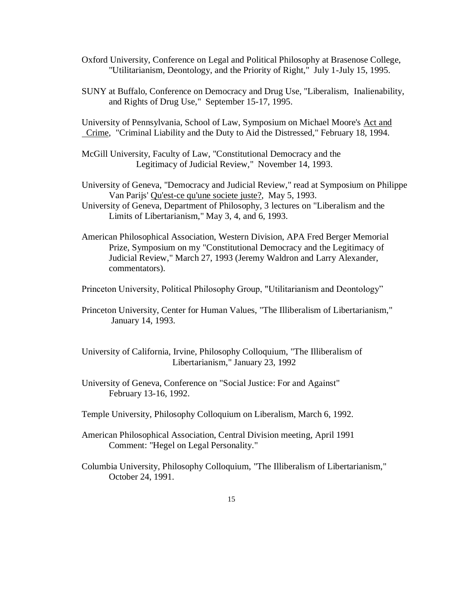- Oxford University, Conference on Legal and Political Philosophy at Brasenose College, "Utilitarianism, Deontology, and the Priority of Right," July 1-July 15, 1995.
- SUNY at Buffalo, Conference on Democracy and Drug Use, "Liberalism, Inalienability, and Rights of Drug Use," September 15-17, 1995.

University of Pennsylvania, School of Law, Symposium on Michael Moore's Act and Crime, "Criminal Liability and the Duty to Aid the Distressed," February 18, 1994.

- McGill University, Faculty of Law, "Constitutional Democracy and the Legitimacy of Judicial Review," November 14, 1993.
- University of Geneva, "Democracy and Judicial Review," read at Symposium on Philippe Van Parijs' Qu'est-ce qu'une societe juste?, May 5, 1993.
- University of Geneva, Department of Philosophy, 3 lectures on "Liberalism and the Limits of Libertarianism," May 3, 4, and 6, 1993.
- American Philosophical Association, Western Division, APA Fred Berger Memorial Prize, Symposium on my "Constitutional Democracy and the Legitimacy of Judicial Review," March 27, 1993 (Jeremy Waldron and Larry Alexander, commentators).

Princeton University, Political Philosophy Group, "Utilitarianism and Deontology"

 Princeton University, Center for Human Values, "The Illiberalism of Libertarianism," January 14, 1993.

University of California, Irvine, Philosophy Colloquium, "The Illiberalism of Libertarianism," January 23, 1992

- University of Geneva, Conference on "Social Justice: For and Against" February 13-16, 1992.
- Temple University, Philosophy Colloquium on Liberalism, March 6, 1992.
- American Philosophical Association, Central Division meeting, April 1991 Comment: "Hegel on Legal Personality."
- Columbia University, Philosophy Colloquium, "The Illiberalism of Libertarianism," October 24, 1991.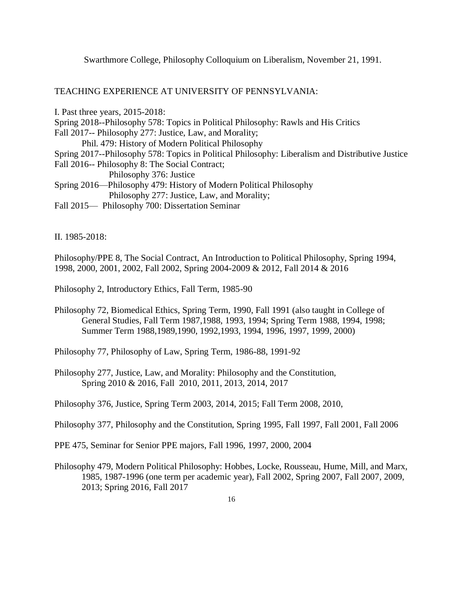Swarthmore College, Philosophy Colloquium on Liberalism, November 21, 1991.

TEACHING EXPERIENCE AT UNIVERSITY OF PENNSYLVANIA:

I. Past three years, 2015-2018: Spring 2018--Philosophy 578: Topics in Political Philosophy: Rawls and His Critics Fall 2017-- Philosophy 277: Justice, Law, and Morality; Phil. 479: History of Modern Political Philosophy Spring 2017--Philosophy 578: Topics in Political Philosophy: Liberalism and Distributive Justice Fall 2016-- Philosophy 8: The Social Contract; Philosophy 376: Justice Spring 2016—Philosophy 479: History of Modern Political Philosophy Philosophy 277: Justice, Law, and Morality; Fall 2015— Philosophy 700: Dissertation Seminar

II. 1985-2018:

Philosophy/PPE 8, The Social Contract, An Introduction to Political Philosophy, Spring 1994, 1998, 2000, 2001, 2002, Fall 2002, Spring 2004-2009 & 2012, Fall 2014 & 2016

Philosophy 2, Introductory Ethics, Fall Term, 1985-90

Philosophy 72, Biomedical Ethics, Spring Term, 1990, Fall 1991 (also taught in College of General Studies, Fall Term 1987,1988, 1993, 1994; Spring Term 1988, 1994, 1998; Summer Term 1988,1989,1990, 1992,1993, 1994, 1996, 1997, 1999, 2000)

Philosophy 77, Philosophy of Law, Spring Term, 1986-88, 1991-92

Philosophy 277, Justice, Law, and Morality: Philosophy and the Constitution, Spring 2010 & 2016, Fall 2010, 2011, 2013, 2014, 2017

Philosophy 376, Justice, Spring Term 2003, 2014, 2015; Fall Term 2008, 2010,

Philosophy 377, Philosophy and the Constitution, Spring 1995, Fall 1997, Fall 2001, Fall 2006

PPE 475, Seminar for Senior PPE majors, Fall 1996, 1997, 2000, 2004

Philosophy 479, Modern Political Philosophy: Hobbes, Locke, Rousseau, Hume, Mill, and Marx, 1985, 1987-1996 (one term per academic year), Fall 2002, Spring 2007, Fall 2007, 2009, 2013; Spring 2016, Fall 2017